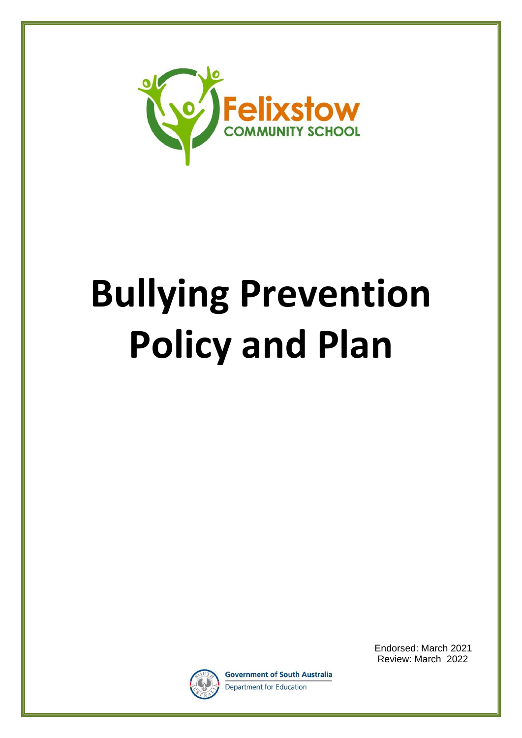

# **Bullying Prevention Policy and Plan**



**Government of South Australia** Department for Education

Endorsed: March 2021 Review: March 2022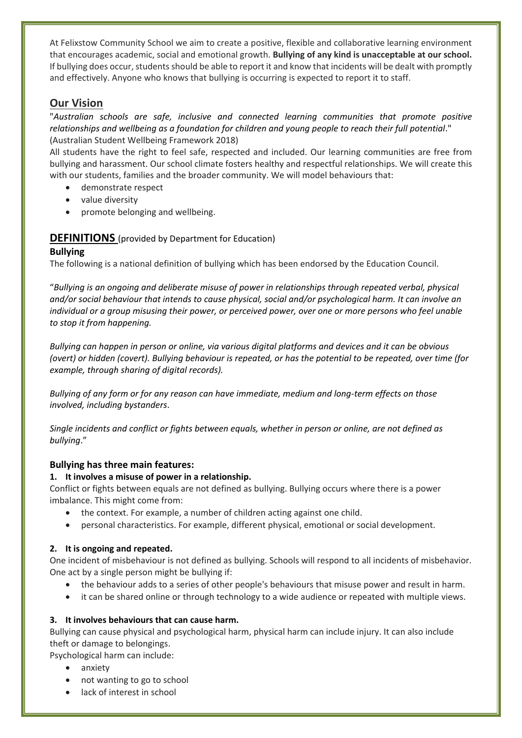At Felixstow Community School we aim to create a positive, flexible and collaborative learning environment that encourages academic, social and emotional growth. **Bullying of any kind is unacceptable at our school.** If bullying does occur, students should be able to report it and know that incidents will be dealt with promptly and effectively. Anyone who knows that bullying is occurring is expected to report it to staff.

# **Our Vision**

"*Australian schools are safe, inclusive and connected learning communities that promote positive relationships and wellbeing as a foundation for children and young people to reach their full potential*." (Australian Student Wellbeing Framework 2018)

All students have the right to feel safe, respected and included. Our learning communities are free from bullying and harassment. Our school climate fosters healthy and respectful relationships. We will create this with our students, families and the broader community. We will model behaviours that:

- demonstrate respect
- value diversity
- promote belonging and wellbeing.

#### **DEFINITIONS** (provided by Department for Education) **Bullying**

#### The following is a national definition of bullying which has been endorsed by the Education Council.

"*Bullying is an ongoing and deliberate misuse of power in relationships through repeated verbal, physical and/or social behaviour that intends to cause physical, social and/or psychological harm. It can involve an individual or a group misusing their power, or perceived power, over one or more persons who feel unable to stop it from happening.*

*Bullying can happen in person or online, via various digital platforms and devices and it can be obvious (overt) or hidden (covert). Bullying behaviour is repeated, or has the potential to be repeated, over time (for example, through sharing of digital records).*

*Bullying of any form or for any reason can have immediate, medium and long-term effects on those involved, including bystanders*.

*Single incidents and conflict or fights between equals, whether in person or online, are not defined as bullying*."

#### **Bullying has three main features:**

#### **1. It involves a misuse of power in a relationship.**

Conflict or fights between equals are not defined as bullying. Bullying occurs where there is a power imbalance. This might come from:

- the context. For example, a number of children acting against one child.
- personal characteristics. For example, different physical, emotional or social development.

#### **2. It is ongoing and repeated.**

One incident of misbehaviour is not defined as bullying. Schools will respond to all incidents of misbehavior. One act by a single person might be bullying if:

- the behaviour adds to a series of other people's behaviours that misuse power and result in harm.
- it can be shared online or through technology to a wide audience or repeated with multiple views.

#### **3. It involves behaviours that can cause harm.**

Bullying can cause physical and psychological harm, physical harm can include injury. It can also include theft or damage to belongings.

Psychological harm can include:

- anxiety
- not wanting to go to school
- lack of interest in school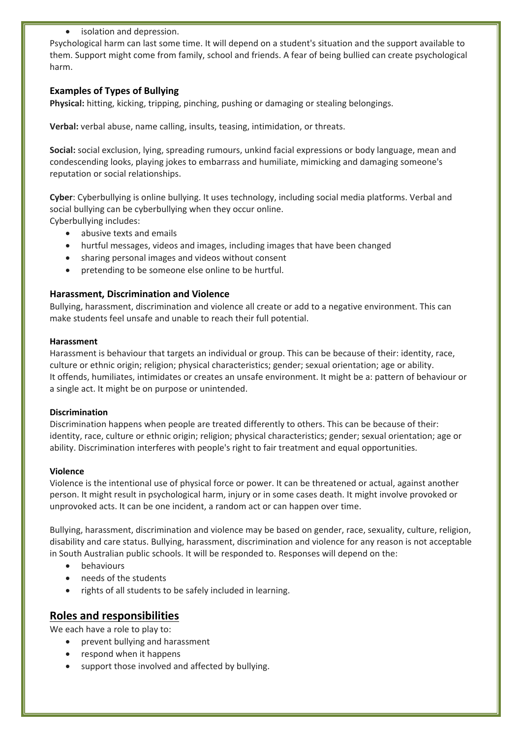• isolation and depression.

Psychological harm can last some time. It will depend on a student's situation and the support available to them. Support might come from family, school and friends. A fear of being bullied can create psychological harm.

#### **Examples of Types of Bullying**

**Physical:** hitting, kicking, tripping, pinching, pushing or damaging or stealing belongings.

**Verbal:** verbal abuse, name calling, insults, teasing, intimidation, or threats.

**Social:** social exclusion, lying, spreading rumours, unkind facial expressions or body language, mean and condescending looks, playing jokes to embarrass and humiliate, mimicking and damaging someone's reputation or social relationships.

**Cyber**: Cyberbullying is online bullying. It uses technology, including social media platforms. Verbal and social bullying can be cyberbullying when they occur online.

Cyberbullying includes:

- abusive texts and emails
- hurtful messages, videos and images, including images that have been changed
- sharing personal images and videos without consent
- pretending to be someone else online to be hurtful.

#### **Harassment, Discrimination and Violence**

Bullying, harassment, discrimination and violence all create or add to a negative environment. This can make students feel unsafe and unable to reach their full potential.

#### **Harassment**

Harassment is behaviour that targets an individual or group. This can be because of their: identity, race, culture or ethnic origin; religion; physical characteristics; gender; sexual orientation; age or ability. It offends, humiliates, intimidates or creates an unsafe environment. It might be a: pattern of behaviour or a single act. It might be on purpose or unintended.

#### **Discrimination**

Discrimination happens when people are treated differently to others. This can be because of their: identity, race, culture or ethnic origin; religion; physical characteristics; gender; sexual orientation; age or ability. Discrimination interferes with people's right to fair treatment and equal opportunities.

#### **Violence**

Violence is the intentional use of physical force or power. It can be threatened or actual, against another person. It might result in psychological harm, injury or in some cases death. It might involve provoked or unprovoked acts. It can be one incident, a random act or can happen over time.

Bullying, harassment, discrimination and violence may be based on gender, race, sexuality, culture, religion, disability and care status. Bullying, harassment, discrimination and violence for any reason is not acceptable in South Australian public schools. It will be responded to. Responses will depend on the:

- behaviours
- needs of the students
- rights of all students to be safely included in learning.

# **Roles and responsibilities**

We each have a role to play to:

- prevent bullying and harassment
- respond when it happens
- support those involved and affected by bullying.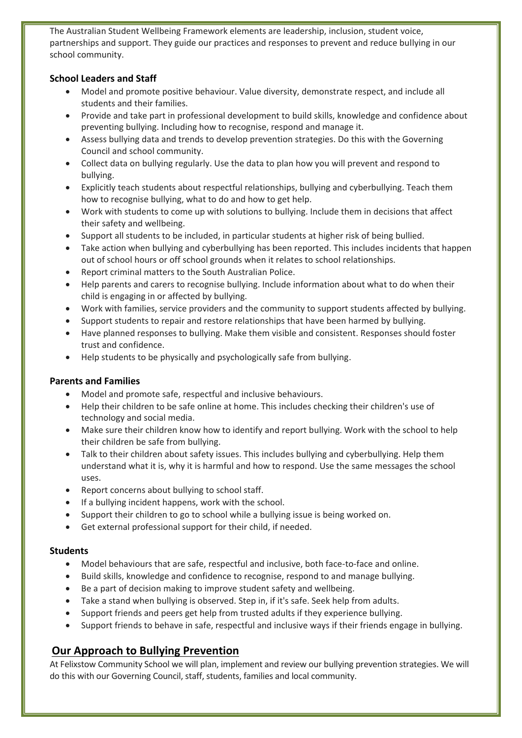The Australian Student Wellbeing Framework elements are leadership, inclusion, student voice, partnerships and support. They guide our practices and responses to prevent and reduce bullying in our school community.

#### **School Leaders and Staff**

- Model and promote positive behaviour. Value diversity, demonstrate respect, and include all students and their families.
- Provide and take part in professional development to build skills, knowledge and confidence about preventing bullying. Including how to recognise, respond and manage it.
- Assess bullying data and trends to develop prevention strategies. Do this with the Governing Council and school community.
- Collect data on bullying regularly. Use the data to plan how you will prevent and respond to bullying.
- Explicitly teach students about respectful relationships, bullying and cyberbullying. Teach them how to recognise bullying, what to do and how to get help.
- Work with students to come up with solutions to bullying. Include them in decisions that affect their safety and wellbeing.
- Support all students to be included, in particular students at higher risk of being bullied.
- Take action when bullying and cyberbullying has been reported. This includes incidents that happen out of school hours or off school grounds when it relates to school relationships.
- Report criminal matters to the South Australian Police.
- Help parents and carers to recognise bullying. Include information about what to do when their child is engaging in or affected by bullying.
- Work with families, service providers and the community to support students affected by bullying.
- Support students to repair and restore relationships that have been harmed by bullying.
- Have planned responses to bullying. Make them visible and consistent. Responses should foster trust and confidence.
- Help students to be physically and psychologically safe from bullying.

#### **Parents and Families**

- Model and promote safe, respectful and inclusive behaviours.
- Help their children to be safe online at home. This includes checking their children's use of technology and social media.
- Make sure their children know how to identify and report bullying. Work with the school to help their children be safe from bullying.
- Talk to their children about safety issues. This includes bullying and cyberbullying. Help them understand what it is, why it is harmful and how to respond. Use the same messages the school uses.
- Report concerns about bullying to school staff.
- If a bullying incident happens, work with the school.
- Support their children to go to school while a bullying issue is being worked on.
- Get external professional support for their child, if needed.

#### **Students**

- Model behaviours that are safe, respectful and inclusive, both face-to-face and online.
- Build skills, knowledge and confidence to recognise, respond to and manage bullying.
- Be a part of decision making to improve student safety and wellbeing.
- Take a stand when bullying is observed. Step in, if it's safe. Seek help from adults.
- Support friends and peers get help from trusted adults if they experience bullying.
- Support friends to behave in safe, respectful and inclusive ways if their friends engage in bullying.

# **Our Approach to Bullying Prevention**

At Felixstow Community School we will plan, implement and review our bullying prevention strategies. We will do this with our Governing Council, staff, students, families and local community.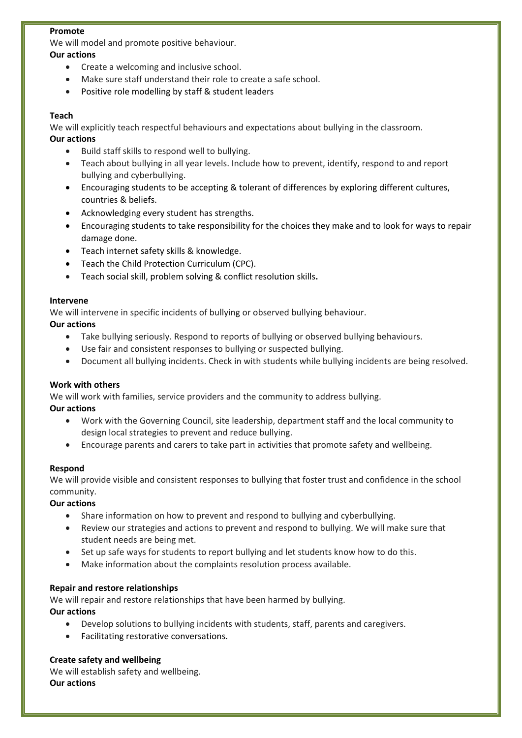#### **Promote**

We will model and promote positive behaviour.

- **Our actions** • Create a welcoming and inclusive school.
	- Make sure staff understand their role to create a safe school.
	- Positive role modelling by staff & student leaders

#### **Teach**

We will explicitly teach respectful behaviours and expectations about bullying in the classroom. **Our actions**

- Build staff skills to respond well to bullying.
- Teach about bullying in all year levels. Include how to prevent, identify, respond to and report bullying and cyberbullying.
- Encouraging students to be accepting & tolerant of differences by exploring different cultures, countries & beliefs.
- Acknowledging every student has strengths.
- Encouraging students to take responsibility for the choices they make and to look for ways to repair damage done.
- Teach internet safety skills & knowledge.
- Teach the Child Protection Curriculum (CPC).
- Teach social skill, problem solving & conflict resolution skills**.**

#### **Intervene**

We will intervene in specific incidents of bullying or observed bullying behaviour.

#### **Our actions**

- Take bullying seriously. Respond to reports of bullying or observed bullying behaviours.
- Use fair and consistent responses to bullying or suspected bullying.
- Document all bullying incidents. Check in with students while bullying incidents are being resolved.

#### **Work with others**

We will work with families, service providers and the community to address bullying.

#### **Our actions**

- Work with the Governing Council, site leadership, department staff and the local community to design local strategies to prevent and reduce bullying.
- Encourage parents and carers to take part in activities that promote safety and wellbeing.

#### **Respond**

We will provide visible and consistent responses to bullying that foster trust and confidence in the school community.

#### **Our actions**

- Share information on how to prevent and respond to bullying and cyberbullying.
- Review our strategies and actions to prevent and respond to bullying. We will make sure that student needs are being met.
- Set up safe ways for students to report bullying and let students know how to do this.
- Make information about the complaints resolution process available.

#### **Repair and restore relationships**

We will repair and restore relationships that have been harmed by bullying.

**Our actions**

- Develop solutions to bullying incidents with students, staff, parents and caregivers.
- Facilitating restorative conversations.

#### **Create safety and wellbeing**

We will establish safety and wellbeing. **Our actions**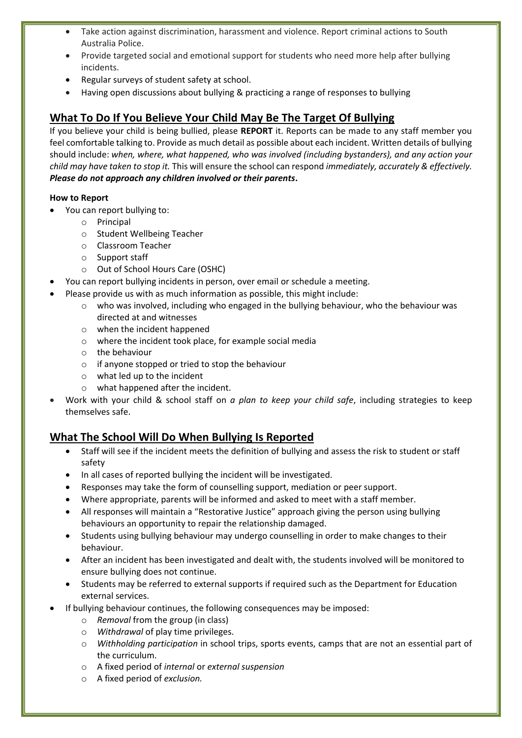- Take action against discrimination, harassment and violence. Report criminal actions to South Australia Police.
- Provide targeted social and emotional support for students who need more help after bullying incidents.
- Regular surveys of student safety at school.
- Having open discussions about bullying & practicing a range of responses to bullying

# **What To Do If You Believe Your Child May Be The Target Of Bullying**

If you believe your child is being bullied, please **REPORT** it. Reports can be made to any staff member you feel comfortable talking to. Provide as much detail as possible about each incident. Written details of bullying should include: *when, where, what happened, who was involved (including bystanders), and any action your child may have taken to stop it.* This will ensure the school can respond *immediately, accurately & effectively. Please do not approach any children involved or their parents***.**

#### **How to Report**

- You can report bullying to:
	- o Principal
	- o Student Wellbeing Teacher
	- o Classroom Teacher
	- o Support staff
	- o Out of School Hours Care (OSHC)
- You can report bullying incidents in person, over email or schedule a meeting.
- Please provide us with as much information as possible, this might include:
	- $\circ$  who was involved, including who engaged in the bullying behaviour, who the behaviour was directed at and witnesses
	- o when the incident happened
	- o where the incident took place, for example social media
	- o the behaviour
	- o if anyone stopped or tried to stop the behaviour
	- o what led up to the incident
	- o what happened after the incident.
- Work with your child & school staff on *a plan to keep your child safe*, including strategies to keep themselves safe.

# **What The School Will Do When Bullying Is Reported**

- Staff will see if the incident meets the definition of bullying and assess the risk to student or staff safety
- In all cases of reported bullying the incident will be investigated.
- Responses may take the form of counselling support, mediation or peer support.
- Where appropriate, parents will be informed and asked to meet with a staff member.
- All responses will maintain a "Restorative Justice" approach giving the person using bullying behaviours an opportunity to repair the relationship damaged.
- Students using bullying behaviour may undergo counselling in order to make changes to their behaviour.
- After an incident has been investigated and dealt with, the students involved will be monitored to ensure bullying does not continue.
- Students may be referred to external supports if required such as the Department for Education external services.
- If bullying behaviour continues, the following consequences may be imposed:
	- o *Removal* from the group (in class)
	- o *Withdrawal* of play time privileges.
	- o *Withholding participation* in school trips, sports events, camps that are not an essential part of the curriculum.
	- o A fixed period of *internal* or *external suspension*
	- o A fixed period of *exclusion.*